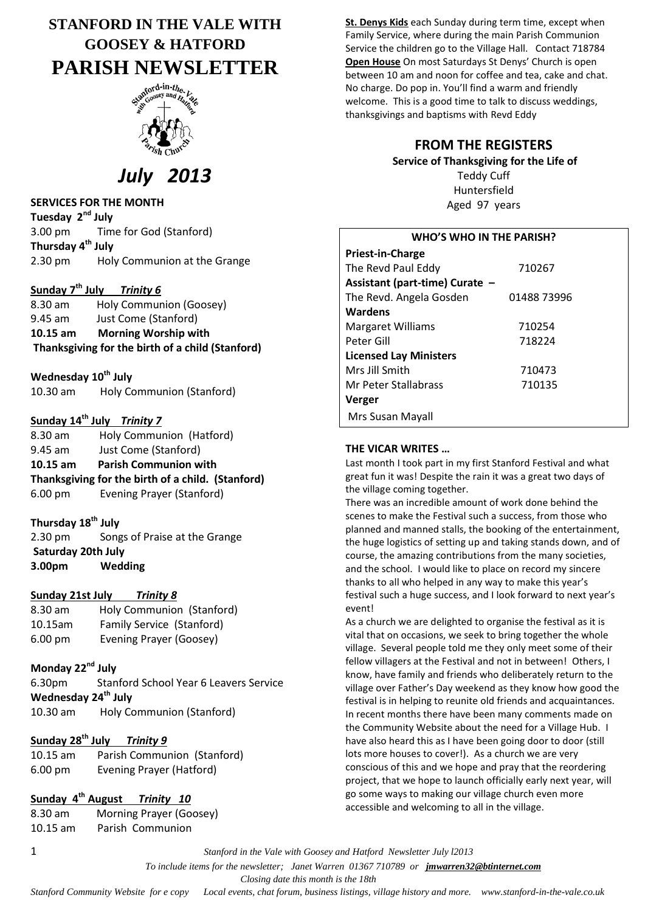## **STANFORD IN THE VALE WITH GOOSEY & HATFORD PARISH NEWSLETTER**



# *July 2013*

#### **SERVICES FOR THE MONTH**

**Tuesday 2nd July** 3.00 pm Time for God (Stanford) **Thursday 4 th July** 2.30 pm Holy Communion at the Grange

## **Sunday 7 th July** *Trinity 6*

8.30 am Holy Communion (Goosey) 9.45 am Just Come (Stanford) **10.15 am Morning Worship with Thanksgiving for the birth of a child (Stanford)**

**Wednesday 10th July** 10.30 am Holy Communion (Stanford)

## **Sunday 14th July** *Trinity 7*

8.30 am Holy Communion (Hatford) 9.45 am Just Come (Stanford) **10.15 am Parish Communion with Thanksgiving for the birth of a child. (Stanford)** 6.00 pm Evening Prayer (Stanford)

#### **Thursday 18th July**

2.30 pm Songs of Praise at the Grange **Saturday 20th July 3.00pm Wedding**

#### **Sunday 21st July** *Trinity 8*

| 8.30 am           | Holy Communion (Stanford) |
|-------------------|---------------------------|
| 10.15am           | Family Service (Stanford) |
| $6.00 \text{ pm}$ | Evening Prayer (Goosey)   |

## **Monday 22nd July**

6.30pm Stanford School Year 6 Leavers Service **Wednesday 24th July** 10.30 am Holy Communion (Stanford)

## **Sunday 28th July** *Trinity 9*

10.15 am Parish Communion (Stanford) 6.00 pm Evening Prayer (Hatford)

## **Sunday 4th August** *Trinity 10*

8.30 am Morning Prayer (Goosey) 10.15 am Parish Communion

**St. Denys Kids** each Sunday during term time, except when Family Service, where during the main Parish Communion Service the children go to the Village Hall. Contact 718784 **Open House** On most Saturdays St Denys' Church is open between 10 am and noon for coffee and tea, cake and chat. No charge. Do pop in. You'll find a warm and friendly welcome. This is a good time to talk to discuss weddings, thanksgivings and baptisms with Revd Eddy

## **FROM THE REGISTERS**

## **Service of Thanksgiving for the Life of**

Teddy Cuff Huntersfield Aged 97 years

| <b>WHO'S WHO IN THE PARISH?</b> |             |  |  |
|---------------------------------|-------------|--|--|
| <b>Priest-in-Charge</b>         |             |  |  |
| The Revd Paul Eddy              | 710267      |  |  |
| Assistant (part-time) Curate -  |             |  |  |
| The Revd. Angela Gosden         | 01488 73996 |  |  |
| <b>Wardens</b>                  |             |  |  |
| <b>Margaret Williams</b>        | 710254      |  |  |
| Peter Gill                      | 718224      |  |  |
| <b>Licensed Lay Ministers</b>   |             |  |  |
| Mrs Jill Smith                  | 710473      |  |  |
| Mr Peter Stallabrass            | 710135      |  |  |
| Verger                          |             |  |  |
| Mrs Susan Mayall                |             |  |  |

#### **THE VICAR WRITES …**

Last month I took part in my first Stanford Festival and what great fun it was! Despite the rain it was a great two days of the village coming together.

There was an incredible amount of work done behind the scenes to make the Festival such a success, from those who planned and manned stalls, the booking of the entertainment, the huge logistics of setting up and taking stands down, and of course, the amazing contributions from the many societies, and the school. I would like to place on record my sincere thanks to all who helped in any way to make this year's festival such a huge success, and I look forward to next year's event!

As a church we are delighted to organise the festival as it is vital that on occasions, we seek to bring together the whole village. Several people told me they only meet some of their fellow villagers at the Festival and not in between! Others, I know, have family and friends who deliberately return to the village over Father's Day weekend as they know how good the festival is in helping to reunite old friends and acquaintances. In recent months there have been many comments made on the Community Website about the need for a Village Hub. I have also heard this as I have been going door to door (still lots more houses to cover!). As a church we are very conscious of this and we hope and pray that the reordering project, that we hope to launch officially early next year, will go some ways to making our village church even more accessible and welcoming to all in the village.

1 *Stanford in the Vale with Goosey and Hatford Newsletter July l2013*

 *To include items for the newsletter; Janet Warren 01367 710789 or jmwarren32@btinternet.com*

 *Closing date this month is the 18th*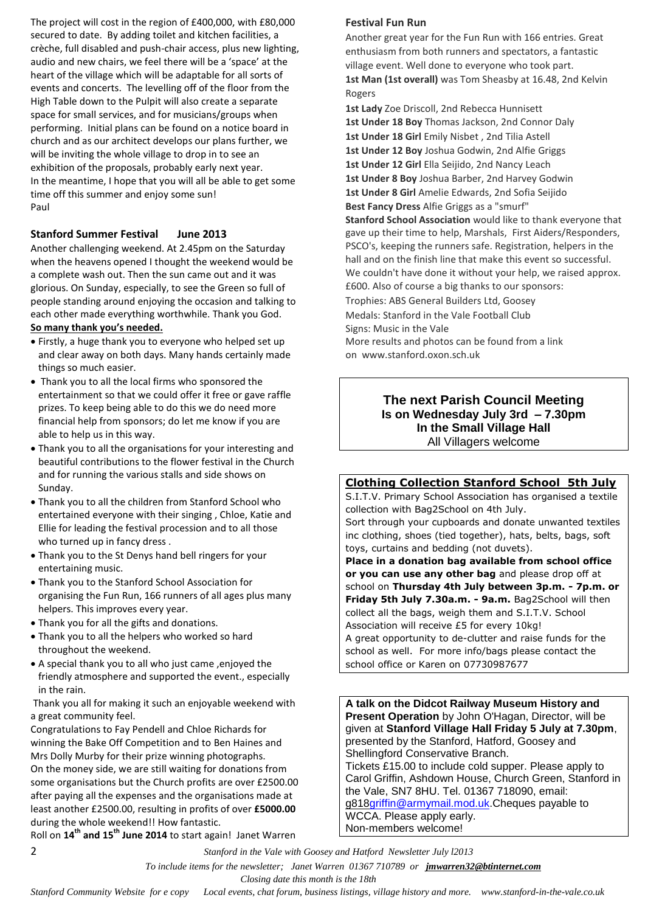The project will cost in the region of £400,000, with £80,000 secured to date. By adding toilet and kitchen facilities, a crèche, full disabled and push-chair access, plus new lighting, audio and new chairs, we feel there will be a 'space' at the heart of the village which will be adaptable for all sorts of events and concerts. The levelling off of the floor from the High Table down to the Pulpit will also create a separate space for small services, and for musicians/groups when performing. Initial plans can be found on a notice board in church and as our architect develops our plans further, we will be inviting the whole village to drop in to see an exhibition of the proposals, probably early next year. In the meantime, I hope that you will all be able to get some time off this summer and enjoy some sun! Paul

#### **Stanford Summer Festival June 2013**

Another challenging weekend. At 2.45pm on the Saturday when the heavens opened I thought the weekend would be a complete wash out. Then the sun came out and it was glorious. On Sunday, especially, to see the Green so full of people standing around enjoying the occasion and talking to each other made everything worthwhile. Thank you God.

#### **So many thank you's needed.**

- Firstly, a huge thank you to everyone who helped set up and clear away on both days. Many hands certainly made things so much easier.
- Thank you to all the local firms who sponsored the entertainment so that we could offer it free or gave raffle prizes. To keep being able to do this we do need more financial help from sponsors; do let me know if you are able to help us in this way.
- Thank you to all the organisations for your interesting and beautiful contributions to the flower festival in the Church and for running the various stalls and side shows on Sunday.
- Thank you to all the children from Stanford School who entertained everyone with their singing , Chloe, Katie and Ellie for leading the festival procession and to all those who turned up in fancy dress .
- Thank you to the St Denys hand bell ringers for your entertaining music.
- Thank you to the Stanford School Association for organising the Fun Run, 166 runners of all ages plus many helpers. This improves every year.
- Thank you for all the gifts and donations.
- Thank you to all the helpers who worked so hard throughout the weekend.
- A special thank you to all who just came ,enjoyed the friendly atmosphere and supported the event., especially in the rain.

Thank you all for making it such an enjoyable weekend with a great community feel.

Congratulations to Fay Pendell and Chloe Richards for winning the Bake Off Competition and to Ben Haines and Mrs Dolly Murby for their prize winning photographs. On the money side, we are still waiting for donations from some organisations but the Church profits are over £2500.00 after paying all the expenses and the organisations made at least another £2500.00, resulting in profits of over **£5000.00** during the whole weekend!! How fantastic.

Roll on **14th and 15th June 2014** to start again! Janet Warren

#### **Festival Fun Run**

Another great year for the Fun Run with 166 entries. Great enthusiasm from both runners and spectators, a fantastic village event. Well done to everyone who took part. **1st Man (1st overall)** was Tom Sheasby at 16.48, 2nd Kelvin Rogers

**1st Lady** Zoe Driscoll, 2nd Rebecca Hunnisett **1st Under 18 Boy** Thomas Jackson, 2nd Connor Daly **1st Under 18 Girl** Emily Nisbet , 2nd Tilia Astell **1st Under 12 Boy** Joshua Godwin, 2nd Alfie Griggs **1st Under 12 Girl** Ella Seijido, 2nd Nancy Leach **1st Under 8 Boy** Joshua Barber, 2nd Harvey Godwin **1st Under 8 Girl** Amelie Edwards, 2nd Sofia Seijido **Best Fancy Dress** Alfie Griggs as a "smurf" **Stanford School Association** would like to thank everyone that

gave up their time to help, Marshals, First Aiders/Responders, PSCO's, keeping the runners safe. Registration, helpers in the hall and on the finish line that make this event so successful. We couldn't have done it without your help, we raised approx. £600. Also of course a big thanks to our sponsors:

Trophies: ABS General Builders Ltd, Goosey Medals: Stanford in the Vale Football Club Signs: Music in the Vale More results and photos can be found from a link on www.stanford.oxon.sch.uk

#### **The next Parish Council Meeting Is on Wednesday July 3rd – 7.30pm In the Small Village Hall** All Villagers welcome

#### **Clothing Collection Stanford School 5th July**

S.I.T.V. Primary School Association has organised a textile collection with Bag2School on 4th July. Sort through your cupboards and donate unwanted textiles inc clothing, shoes (tied together), hats, belts, bags, soft toys, curtains and bedding (not duvets).

**Place in a donation bag available from school office or you can use any other bag** and please drop off at school on **Thursday 4th July between 3p.m. - 7p.m. or Friday 5th July 7.30a.m. - 9a.m.** Bag2School will then collect all the bags, weigh them and S.I.T.V. School Association will receive £5 for every 10kg! A great opportunity to de-clutter and raise funds for the school as well. For more info/bags please contact the school office or Karen on 07730987677

**A talk on the Didcot Railway Museum History and Present Operation** by John O'Hagan, Director, will be given at **Stanford Village Hall Friday 5 July at 7.30pm**, presented by the Stanford, Hatford, Goosey and Shellingford Conservative Branch. Tickets £15.00 to include cold supper. Please apply to Carol Griffin, Ashdown House, Church Green, Stanford in the Vale, SN7 8HU. Tel. 01367 718090, email: g81[8griffin@armymail.mod.uk.](mailto:g818griffin@armymail.mod.uk)Cheques payable to WCCA. Please apply early. Non-members welcome!

2 *Stanford in the Vale with Goosey and Hatford Newsletter July l2013*

 *To include items for the newsletter; Janet Warren 01367 710789 or jmwarren32@btinternet.com*

 *Closing date this month is the 18th*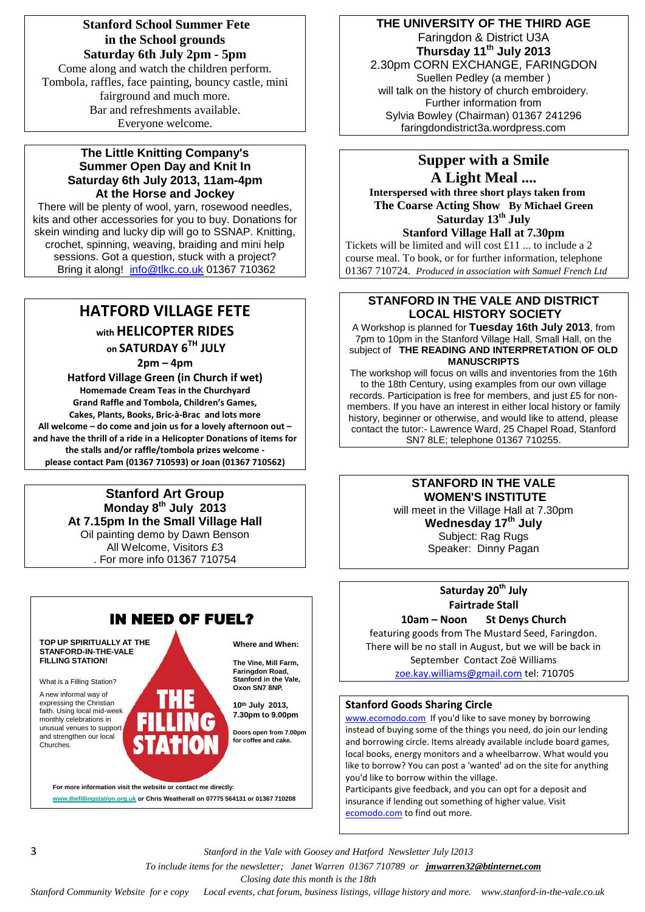## **Stanford School Summer Fete in the School grounds Saturday 6th July 2pm - 5pm** Come along and watch the children perform.

Tombola, raffles, face painting, bouncy castle, mini fairground and much more. Bar and refreshments available. Everyone welcome.

### **The Little Knitting Company's Summer Open Day and Knit In Saturday 6th July 2013, 11am-4pm At the Horse and Jockey**

There will be plenty of wool, yarn, rosewood needles, kits and other accessories for you to buy. Donations for skein winding and lucky dip will go to SSNAP. Knitting, crochet, spinning, weaving, braiding and mini help sessions. Got a question, stuck with a project? Bring it along! [info@tlkc.co.uk](mailto:info@tlkc.co.uk) 01367 710362

## **HATFORD VILLAGE FETE with HELICOPTER RIDES**

**on SATURDAY 6TH JULY** 

**2pm – 4pm**

**Hatford Village Green (in Church if wet) Homemade Cream Teas in the Churchyard Grand Raffle and Tombola, Children's Games, Cakes, Plants, Books, Bric-à-Brac and lots more All welcome – do come and join us for a lovely afternoon out – and have the thrill of a ride in a Helicopter Donations of items for the stalls and/or raffle/tombola prizes welcome please contact Pam (01367 710593) or Joan (01367 710562)** 

#### **Stanford Art Group Monday 8 th July 2013 At 7.15pm In the Small Village Hall** Oil painting demo by Dawn Benson All Welcome, Visitors £3 . For more info 01367 710754



## **THE UNIVERSITY OF THE THIRD AGE** Faringdon & District U3A

**Thursday 11 th July 2013** 2.30pm CORN EXCHANGE, FARINGDON Suellen Pedley (a member ) will talk on the history of church embroidery. Further information from Sylvia Bowley (Chairman) 01367 241296 faringdondistrict3a.wordpress.com

# **Supper with a Smile**

**A Light Meal .... Interspersed with three short plays taken from The Coarse Acting Show By Michael Green Saturday 13th July Stanford Village Hall at 7.30pm**

Tickets will be limited and will cost £11 ... to include a 2 course meal. To book, or for further information, telephone 01367 710724. *Produced in association with Samuel French Ltd*

## **STANFORD IN THE VALE AND DISTRICT LOCAL HISTORY SOCIETY**

A Workshop is planned for **Tuesday 16th July 2013**, from 7pm to 10pm in the Stanford Village Hall, Small Hall, on the subject of **THE READING AND INTERPRETATION OF OLD MANUSCRIPTS**

The workshop will focus on wills and inventories from the 16th to the 18th Century, using examples from our own village records. Participation is free for members, and just £5 for nonmembers. If you have an interest in either local history or family history, beginner or otherwise, and would like to attend, please contact the tutor:- Lawrence Ward, 25 Chapel Road, Stanford SN7 8LE; telephone 01367 710255.

## **STANFORD IN THE VALE WOMEN'S INSTITUTE**

will meet in the Village Hall at 7.30pm **Wednesday 17 th July** Subject: Rag Rugs Speaker: Dinny Pagan

## **Saturday 20 th July Fairtrade Stall**

**10am – Noon St Denys Church** featuring goods from The Mustard Seed, Faringdon. There will be no stall in August, but we will be back in September Contact Zoë Williams [zoe.kay.williams@gmail.com](mailto:zoe.kay.williams@gmail.com) tel: 710705

### **Stanford Goods Sharing Circle**

[www.ecomodo.com](http://www.ecomodo.com/) If you'd like to save money by borrowing instead of buying some of the things you need, do join our lending and borrowing circle. Items already available include board games, local books, energy monitors and a wheelbarrow. What would you like to borrow? You can post a 'wanted' ad on the site for anything you'd like to borrow within the village.

Participants give feedback, and you can opt for a deposit and insurance if lending out something of higher value. Visit [ecomodo.com](http://ecomodo.com/) to find out more.

3 *Stanford in the Vale with Goosey and Hatford Newsletter July l2013*

 *To include items for the newsletter; Janet Warren 01367 710789 or jmwarren32@btinternet.com*

 *Closing date this month is the 18th*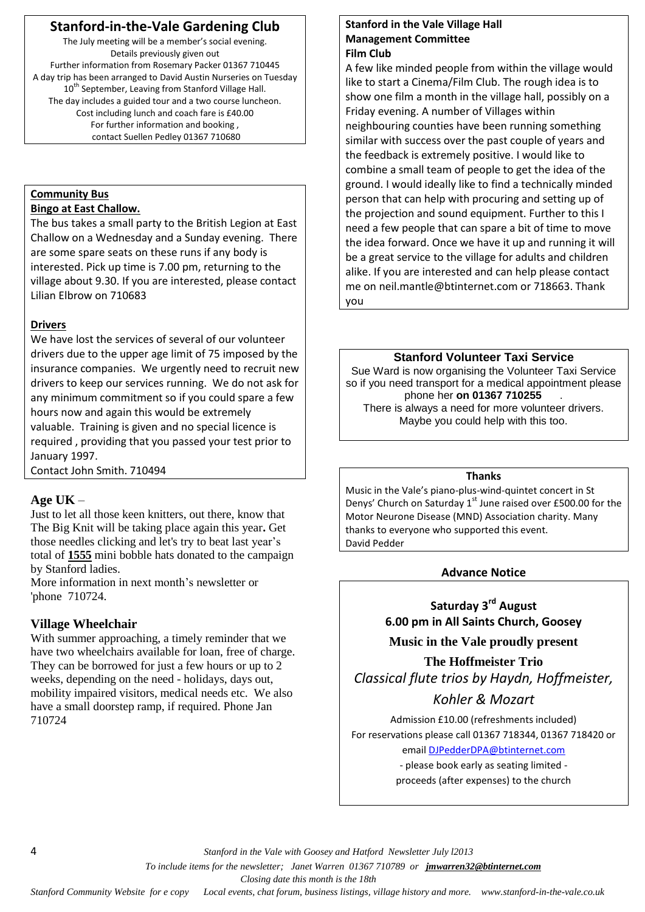## **Stanford-in-the-Vale Gardening Club**

The July meeting will be a member's social evening. Details previously given out Further information from Rosemary Packer 01367 710445 A day trip has been arranged to David Austin Nurseries on Tuesday 10<sup>th</sup> September, Leaving from Stanford Village Hall. The day includes a guided tour and a two course luncheon. Cost including lunch and coach fare is £40.00 For further information and booking , contact Suellen Pedley 01367 710680

## **Community Bus**

## **Bingo at East Challow.**

The bus takes a small party to the British Legion at East Challow on a Wednesday and a Sunday evening. There are some spare seats on these runs if any body is interested. Pick up time is 7.00 pm, returning to the village about 9.30. If you are interested, please contact Lilian Elbrow on 710683

## **Drivers**

We have lost the services of several of our volunteer drivers due to the upper age limit of 75 imposed by the insurance companies. We urgently need to recruit new drivers to keep our services running. We do not ask for any minimum commitment so if you could spare a few hours now and again this would be extremely valuable. Training is given and no special licence is required , providing that you passed your test prior to January 1997.

Contact John Smith. 710494

## **Age UK** –

Just to let all those keen knitters, out there, know that The Big Knit will be taking place again this year**.** Get those needles clicking and let's try to beat last year's total of **1555** mini bobble hats donated to the campaign by Stanford ladies.

More information in next month's newsletter or 'phone 710724.

## **Village Wheelchair**

With summer approaching, a timely reminder that we have two wheelchairs available for loan, free of charge. They can be borrowed for just a few hours or up to 2 weeks, depending on the need - holidays, days out, mobility impaired visitors, medical needs etc. We also have a small doorstep ramp, if required. Phone Jan 710724

#### **Stanford in the Vale Village Hall Management Committee Film Club**

A few like minded people from within the village would like to start a Cinema/Film Club. The rough idea is to show one film a month in the village hall, possibly on a Friday evening. A number of Villages within neighbouring counties have been running something similar with success over the past couple of years and the feedback is extremely positive. I would like to combine a small team of people to get the idea of the ground. I would ideally like to find a technically minded person that can help with procuring and setting up of the projection and sound equipment. Further to this I need a few people that can spare a bit of time to move the idea forward. Once we have it up and running it will be a great service to the village for adults and children alike. If you are interested and can help please contact me on [neil.mantle@btinternet.com](mailto:neil.mantle@btinternet.com) or 718663. Thank you

### **Stanford Volunteer Taxi Service**

Sue Ward is now organising the Volunteer Taxi Service so if you need transport for a medical appointment please phone her **on 01367 710255** . There is always a need for more volunteer drivers. Maybe you could help with this too.

### **Thanks**

Music in the Vale's piano-plus-wind-quintet concert in St Denys' Church on Saturday  $1<sup>st</sup>$  June raised over £500.00 for the Motor Neurone Disease (MND) Association charity. Many thanks to everyone who supported this event. David Pedder

## **Advance Notice**

**Saturday 3rd August 6.00 pm in All Saints Church, Goosey**

**Music in the Vale proudly present**

**The Hoffmeister Trio** *Classical flute trios by Haydn, Hoffmeister,* 

## *Kohler & Mozart*

Admission £10.00 (refreshments included) For reservations please call 01367 718344, 01367 718420 or email [DJPedderDPA@btinternet.com](mailto:DJPedderDPA@btinternet.com)

- please book early as seating limited proceeds (after expenses) to the church

4 *Stanford in the Vale with Goosey and Hatford Newsletter July l2013*

 *To include items for the newsletter; Janet Warren 01367 710789 or jmwarren32@btinternet.com*

 *Closing date this month is the 18th*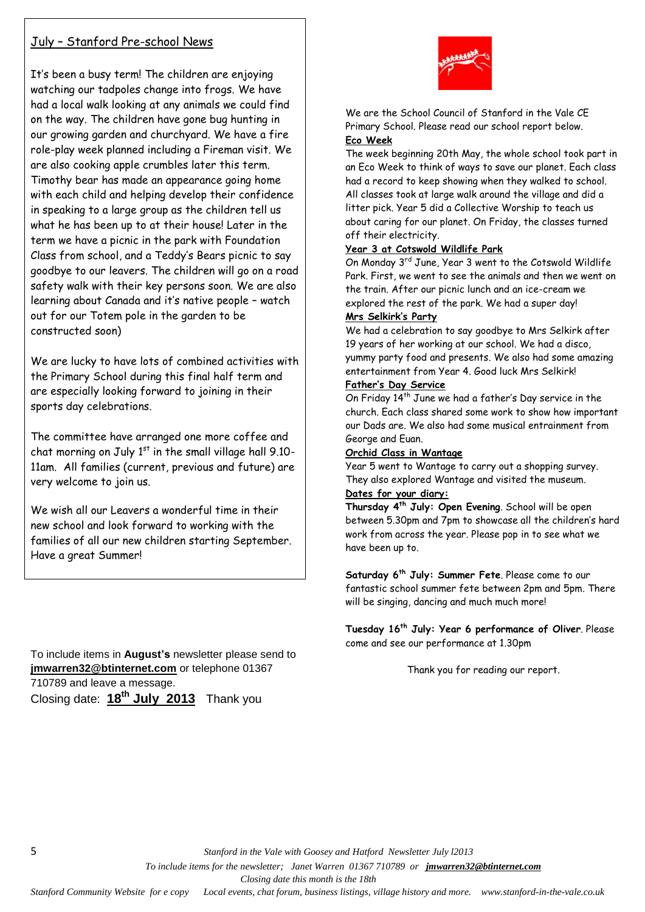## July – Stanford Pre-school News

It's been a busy term! The children are enjoying watching our tadpoles change into frogs. We have had a local walk looking at any animals we could find on the way. The children have gone bug hunting in our growing garden and churchyard. We have a fire role-play week planned including a Fireman visit. We are also cooking apple crumbles later this term. Timothy bear has made an appearance going home with each child and helping develop their confidence in speaking to a large group as the children tell us what he has been up to at their house! Later in the term we have a picnic in the park with Foundation Class from school, and a Teddy's Bears picnic to say goodbye to our leavers. The children will go on a road safety walk with their key persons soon. We are also learning about Canada and it's native people – watch out for our Totem pole in the garden to be constructed soon)

We are lucky to have lots of combined activities with the Primary School during this final half term and are especially looking forward to joining in their sports day celebrations.

The committee have arranged one more coffee and chat morning on July  $1<sup>st</sup>$  in the small village hall 9.10-11am. All families (current, previous and future) are very welcome to join us.

We wish all our Leavers a wonderful time in their new school and look forward to working with the families of all our new children starting September. Have a great Summer!

To include items in **August's** newsletter please send to **[jmwarren32@btinternet.com](mailto:jmwarren32@btinternet.com)** or telephone 01367 710789 and leave a message. Closing date: **18th July 2013** Thank you



We are the School Council of Stanford in the Vale CE Primary School. Please read our school report below. **Eco Week**

The week beginning 20th May, the whole school took part in an Eco Week to think of ways to save our planet. Each class had a record to keep showing when they walked to school. All classes took at large walk around the village and did a litter pick. Year 5 did a Collective Worship to teach us about caring for our planet. On Friday, the classes turned off their electricity.

#### **Year 3 at Cotswold Wildlife Park**

On Monday 3rd June, Year 3 went to the Cotswold Wildlife Park. First, we went to see the animals and then we went on the train. After our picnic lunch and an ice-cream we explored the rest of the park. We had a super day! **Mrs Selkirk's Party**

We had a celebration to say goodbye to Mrs Selkirk after 19 years of her working at our school. We had a disco, yummy party food and presents. We also had some amazing entertainment from Year 4. Good luck Mrs Selkirk!

#### **Father's Day Service**

On Friday 14th June we had a father's Day service in the church. Each class shared some work to show how important our Dads are. We also had some musical entrainment from George and Euan.

#### **Orchid Class in Wantage**

Year 5 went to Wantage to carry out a shopping survey. They also explored Wantage and visited the museum.

### **Dates for your diary:**

**Thursday 4th July: Open Evening**. School will be open between 5.30pm and 7pm to showcase all the children's hard work from across the year. Please pop in to see what we have been up to.

**Saturday 6th July: Summer Fete**. Please come to our fantastic school summer fete between 2pm and 5pm. There will be singing, dancing and much much more!

**Tuesday 16th July: Year 6 performance of Oliver**. Please come and see our performance at 1.30pm

Thank you for reading our report.

5 *Stanford in the Vale with Goosey and Hatford Newsletter July l2013*

 *To include items for the newsletter; Janet Warren 01367 710789 or jmwarren32@btinternet.com*

 *Closing date this month is the 18th*